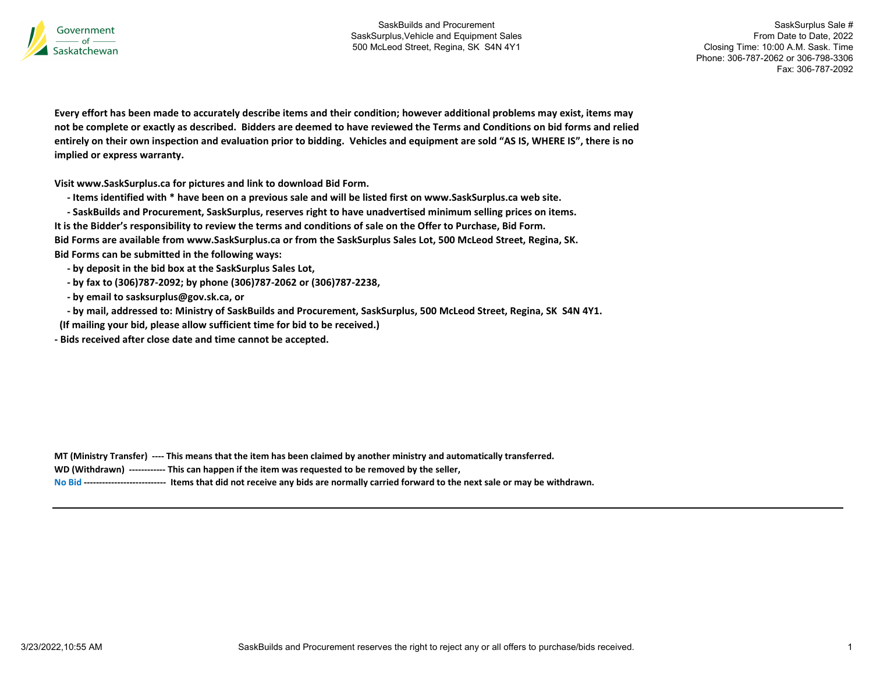

SaskSurplus Sale # From Date to Date, 2022 Closing Time: 10:00 A.M. Sask. Time Phone: 306-787-2062 or 306-798-3306 Fax: 306-787-2092

Every effort has been made to accurately describe items and their condition; however additional problems may exist, items may not be complete or exactly as described. Bidders are deemed to have reviewed the Terms and Conditions on bid forms and relied entirely on their own inspection and evaluation prior to bidding. Vehicles and equipment are sold "AS IS, WHERE IS", there is no implied or express warranty.

Visit www.SaskSurplus.ca for pictures and link to download Bid Form.

- Items identified with \* have been on a previous sale and will be listed first on www.SaskSurplus.ca web site.
- SaskBuilds and Procurement, SaskSurplus, reserves right to have unadvertised minimum selling prices on items.

It is the Bidder's responsibility to review the terms and conditions of sale on the Offer to Purchase, Bid Form.

Bid Forms are available from www.SaskSurplus.ca or from the SaskSurplus Sales Lot, 500 McLeod Street, Regina, SK. Bid Forms can be submitted in the following ways:

- by deposit in the bid box at the SaskSurplus Sales Lot,
- by fax to (306)787-2092; by phone (306)787-2062 or (306)787-2238,
- by email to sasksurplus@gov.sk.ca, or
- by mail, addressed to: Ministry of SaskBuilds and Procurement, SaskSurplus, 500 McLeod Street, Regina, SK S4N 4Y1.
- (If mailing your bid, please allow sufficient time for bid to be received.)

- Bids received after close date and time cannot be accepted.

|  | MT (Ministry Transfer) ---- This means that the item has been claimed by another ministry and automatically transferred. |  |  |
|--|--------------------------------------------------------------------------------------------------------------------------|--|--|
|--|--------------------------------------------------------------------------------------------------------------------------|--|--|

WD (Withdrawn) ------------ This can happen if the item was requested to be removed by the seller,

No Bid --------------------------- Items that did not receive any bids are normally carried forward to the next sale or may be withdrawn.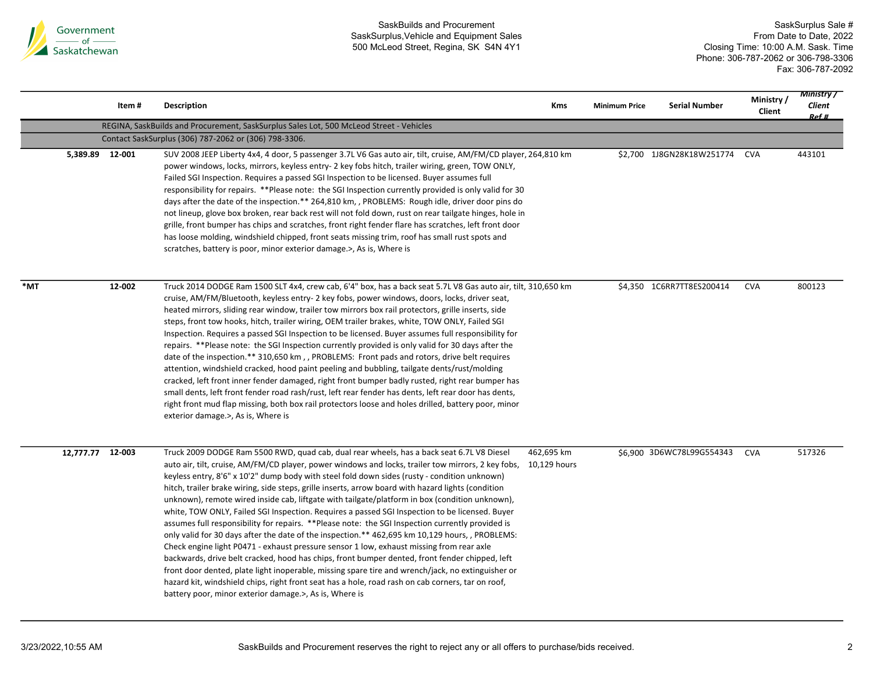

|     |                  | Item#  | <b>Description</b>                                                                                                                                                                                                                                                                                                                                                                                                                                                                                                                                                                                                                                                                                                                                                                                                                                                                                                                                                                                                                                                                                                                                                                                                                                                                             | Kms        | <b>Minimum Price</b> | <b>Serial Number</b>      | Ministry/<br>Client | <b>Ministry</b> /<br>Client<br>Ref # |
|-----|------------------|--------|------------------------------------------------------------------------------------------------------------------------------------------------------------------------------------------------------------------------------------------------------------------------------------------------------------------------------------------------------------------------------------------------------------------------------------------------------------------------------------------------------------------------------------------------------------------------------------------------------------------------------------------------------------------------------------------------------------------------------------------------------------------------------------------------------------------------------------------------------------------------------------------------------------------------------------------------------------------------------------------------------------------------------------------------------------------------------------------------------------------------------------------------------------------------------------------------------------------------------------------------------------------------------------------------|------------|----------------------|---------------------------|---------------------|--------------------------------------|
|     |                  |        | REGINA, SaskBuilds and Procurement, SaskSurplus Sales Lot, 500 McLeod Street - Vehicles                                                                                                                                                                                                                                                                                                                                                                                                                                                                                                                                                                                                                                                                                                                                                                                                                                                                                                                                                                                                                                                                                                                                                                                                        |            |                      |                           |                     |                                      |
|     |                  |        | Contact SaskSurplus (306) 787-2062 or (306) 798-3306.                                                                                                                                                                                                                                                                                                                                                                                                                                                                                                                                                                                                                                                                                                                                                                                                                                                                                                                                                                                                                                                                                                                                                                                                                                          |            |                      |                           |                     |                                      |
|     | 5,389.89 12-001  |        | SUV 2008 JEEP Liberty 4x4, 4 door, 5 passenger 3.7L V6 Gas auto air, tilt, cruise, AM/FM/CD player, 264,810 km<br>power windows, locks, mirrors, keyless entry- 2 key fobs hitch, trailer wiring, green, TOW ONLY,<br>Failed SGI Inspection. Requires a passed SGI Inspection to be licensed. Buyer assumes full<br>responsibility for repairs. **Please note: the SGI Inspection currently provided is only valid for 30<br>days after the date of the inspection.** 264,810 km, , PROBLEMS: Rough idle, driver door pins do<br>not lineup, glove box broken, rear back rest will not fold down, rust on rear tailgate hinges, hole in<br>grille, front bumper has chips and scratches, front right fender flare has scratches, left front door<br>has loose molding, windshield chipped, front seats missing trim, roof has small rust spots and<br>scratches, battery is poor, minor exterior damage.>, As is, Where is                                                                                                                                                                                                                                                                                                                                                                     |            |                      | \$2,700 1J8GN28K18W251774 | <b>CVA</b>          | 443101                               |
| *MT |                  | 12-002 | Truck 2014 DODGE Ram 1500 SLT 4x4, crew cab, 6'4" box, has a back seat 5.7L V8 Gas auto air, tilt, 310,650 km<br>cruise, AM/FM/Bluetooth, keyless entry- 2 key fobs, power windows, doors, locks, driver seat,<br>heated mirrors, sliding rear window, trailer tow mirrors box rail protectors, grille inserts, side<br>steps, front tow hooks, hitch, trailer wiring, OEM trailer brakes, white, TOW ONLY, Failed SGI<br>Inspection. Requires a passed SGI Inspection to be licensed. Buyer assumes full responsibility for<br>repairs. **Please note: the SGI Inspection currently provided is only valid for 30 days after the<br>date of the inspection.** 310,650 km, , PROBLEMS: Front pads and rotors, drive belt requires<br>attention, windshield cracked, hood paint peeling and bubbling, tailgate dents/rust/molding<br>cracked, left front inner fender damaged, right front bumper badly rusted, right rear bumper has<br>small dents, left front fender road rash/rust, left rear fender has dents, left rear door has dents,<br>right front mud flap missing, both box rail protectors loose and holes drilled, battery poor, minor<br>exterior damage.>, As is, Where is                                                                                                      |            |                      | \$4,350 1C6RR7TT8ES200414 | <b>CVA</b>          | 800123                               |
|     | 12,777.77 12-003 |        | Truck 2009 DODGE Ram 5500 RWD, quad cab, dual rear wheels, has a back seat 6.7L V8 Diesel<br>auto air, tilt, cruise, AM/FM/CD player, power windows and locks, trailer tow mirrors, 2 key fobs, 10,129 hours<br>keyless entry, 8'6" x 10'2" dump body with steel fold down sides (rusty - condition unknown)<br>hitch, trailer brake wiring, side steps, grille inserts, arrow board with hazard lights (condition<br>unknown), remote wired inside cab, liftgate with tailgate/platform in box (condition unknown),<br>white, TOW ONLY, Failed SGI Inspection. Requires a passed SGI Inspection to be licensed. Buyer<br>assumes full responsibility for repairs. **Please note: the SGI Inspection currently provided is<br>only valid for 30 days after the date of the inspection.** 462,695 km 10,129 hours,, PROBLEMS:<br>Check engine light P0471 - exhaust pressure sensor 1 low, exhaust missing from rear axle<br>backwards, drive belt cracked, hood has chips, front bumper dented, front fender chipped, left<br>front door dented, plate light inoperable, missing spare tire and wrench/jack, no extinguisher or<br>hazard kit, windshield chips, right front seat has a hole, road rash on cab corners, tar on roof,<br>battery poor, minor exterior damage.>, As is, Where is | 462,695 km |                      | \$6,900 3D6WC78L99G554343 | <b>CVA</b>          | 517326                               |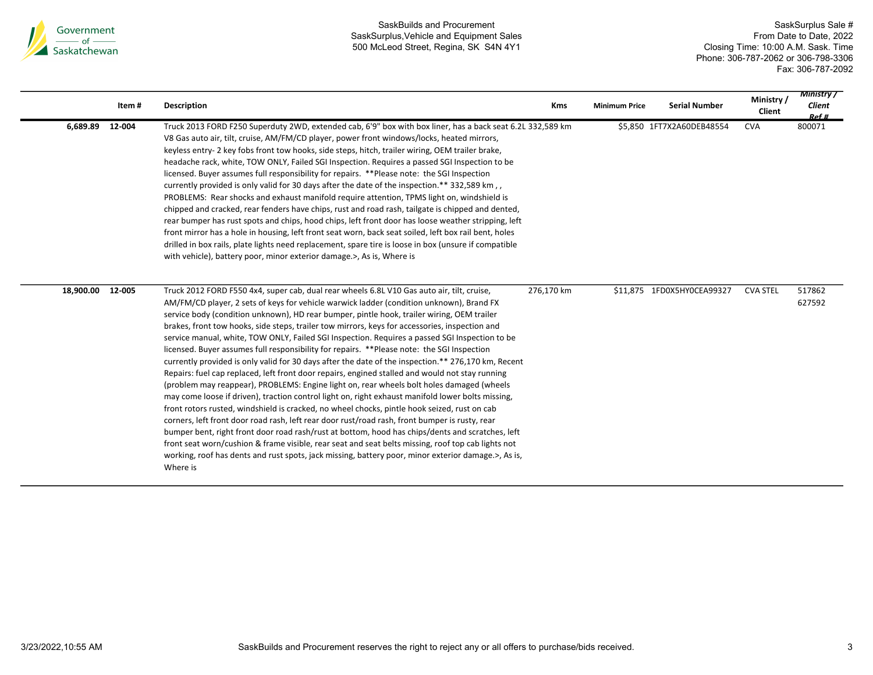

|           | Item#  | <b>Description</b>                                                                                                                                                                                                                                                                                                                                                                                                                                                                                                                                                                                                                                                                                                                                                                                                                                                                                                                                                                                                                                                                                                                                                                                                                                                                                                                                                                                                                                                                                                                | <b>Kms</b> | <b>Minimum Price</b> | <b>Serial Number</b>       | Ministry/<br>Client | <b>Ministry</b> /<br>Client<br>Ref # |
|-----------|--------|-----------------------------------------------------------------------------------------------------------------------------------------------------------------------------------------------------------------------------------------------------------------------------------------------------------------------------------------------------------------------------------------------------------------------------------------------------------------------------------------------------------------------------------------------------------------------------------------------------------------------------------------------------------------------------------------------------------------------------------------------------------------------------------------------------------------------------------------------------------------------------------------------------------------------------------------------------------------------------------------------------------------------------------------------------------------------------------------------------------------------------------------------------------------------------------------------------------------------------------------------------------------------------------------------------------------------------------------------------------------------------------------------------------------------------------------------------------------------------------------------------------------------------------|------------|----------------------|----------------------------|---------------------|--------------------------------------|
| 6,689.89  | 12-004 | Truck 2013 FORD F250 Superduty 2WD, extended cab, 6'9" box with box liner, has a back seat 6.2L 332,589 km<br>V8 Gas auto air, tilt, cruise, AM/FM/CD player, power front windows/locks, heated mirrors,<br>keyless entry- 2 key fobs front tow hooks, side steps, hitch, trailer wiring, OEM trailer brake,<br>headache rack, white, TOW ONLY, Failed SGI Inspection. Requires a passed SGI Inspection to be<br>licensed. Buyer assumes full responsibility for repairs. **Please note: the SGI Inspection<br>currently provided is only valid for 30 days after the date of the inspection.** 332,589 km,<br>PROBLEMS: Rear shocks and exhaust manifold require attention, TPMS light on, windshield is<br>chipped and cracked, rear fenders have chips, rust and road rash, tailgate is chipped and dented,<br>rear bumper has rust spots and chips, hood chips, left front door has loose weather stripping, left<br>front mirror has a hole in housing, left front seat worn, back seat soiled, left box rail bent, holes<br>drilled in box rails, plate lights need replacement, spare tire is loose in box (unsure if compatible<br>with vehicle), battery poor, minor exterior damage. >, As is, Where is                                                                                                                                                                                                                                                                                                                 |            |                      | \$5,850 1FT7X2A60DEB48554  | <b>CVA</b>          | 800071                               |
| 18,900.00 | 12-005 | Truck 2012 FORD F550 4x4, super cab, dual rear wheels 6.8L V10 Gas auto air, tilt, cruise,<br>AM/FM/CD player, 2 sets of keys for vehicle warwick ladder (condition unknown), Brand FX<br>service body (condition unknown), HD rear bumper, pintle hook, trailer wiring, OEM trailer<br>brakes, front tow hooks, side steps, trailer tow mirrors, keys for accessories, inspection and<br>service manual, white, TOW ONLY, Failed SGI Inspection. Requires a passed SGI Inspection to be<br>licensed. Buyer assumes full responsibility for repairs. **Please note: the SGI Inspection<br>currently provided is only valid for 30 days after the date of the inspection.** 276,170 km, Recent<br>Repairs: fuel cap replaced, left front door repairs, engined stalled and would not stay running<br>(problem may reappear), PROBLEMS: Engine light on, rear wheels bolt holes damaged (wheels<br>may come loose if driven), traction control light on, right exhaust manifold lower bolts missing,<br>front rotors rusted, windshield is cracked, no wheel chocks, pintle hook seized, rust on cab<br>corners, left front door road rash, left rear door rust/road rash, front bumper is rusty, rear<br>bumper bent, right front door road rash/rust at bottom, hood has chips/dents and scratches, left<br>front seat worn/cushion & frame visible, rear seat and seat belts missing, roof top cab lights not<br>working, roof has dents and rust spots, jack missing, battery poor, minor exterior damage.>, As is,<br>Where is | 276,170 km |                      | \$11,875 1FD0X5HYOCEA99327 | <b>CVA STEL</b>     | 517862<br>627592                     |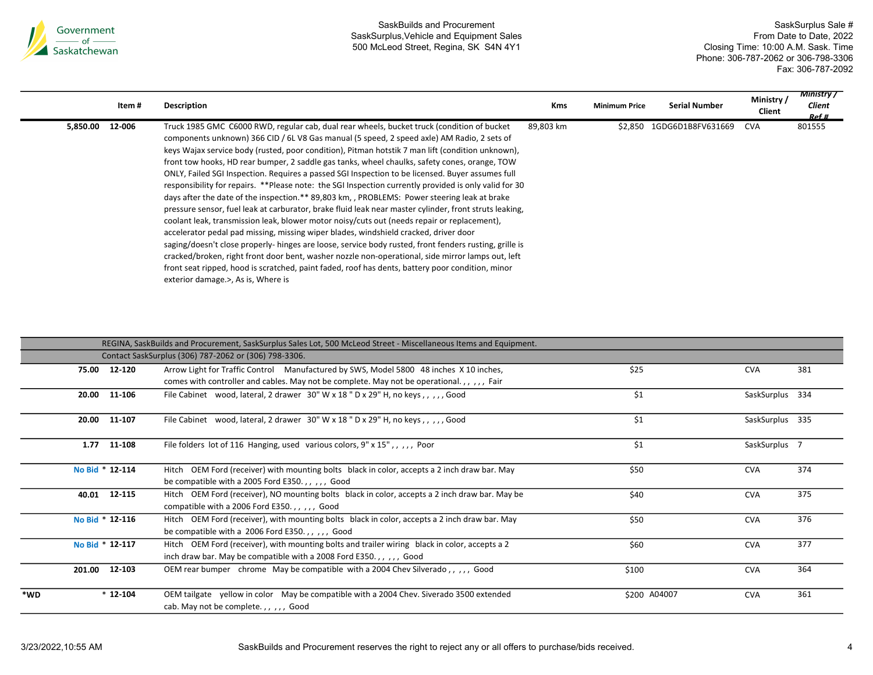

|          | Item # | Description                                                                                                                                                                                                                                                                                                                                                                                                                                                                                                                                                                                                                                                                                                                                                                                                                                                                                                                                                                                                                                                                                                                                                                                                                                                                                                                                                          | <b>Kms</b> | <b>Minimum Price</b> | <b>Serial Number</b>      | Ministry/<br>Client | <b>Ministry</b> /<br>Client<br>Ref # |
|----------|--------|----------------------------------------------------------------------------------------------------------------------------------------------------------------------------------------------------------------------------------------------------------------------------------------------------------------------------------------------------------------------------------------------------------------------------------------------------------------------------------------------------------------------------------------------------------------------------------------------------------------------------------------------------------------------------------------------------------------------------------------------------------------------------------------------------------------------------------------------------------------------------------------------------------------------------------------------------------------------------------------------------------------------------------------------------------------------------------------------------------------------------------------------------------------------------------------------------------------------------------------------------------------------------------------------------------------------------------------------------------------------|------------|----------------------|---------------------------|---------------------|--------------------------------------|
| 5,850.00 | 12-006 | Truck 1985 GMC C6000 RWD, regular cab, dual rear wheels, bucket truck (condition of bucket<br>components unknown) 366 CID / 6L V8 Gas manual (5 speed, 2 speed axle) AM Radio, 2 sets of<br>keys Wajax service body (rusted, poor condition), Pitman hotstik 7 man lift (condition unknown),<br>front tow hooks, HD rear bumper, 2 saddle gas tanks, wheel chaulks, safety cones, orange, TOW<br>ONLY, Failed SGI Inspection. Requires a passed SGI Inspection to be licensed. Buyer assumes full<br>responsibility for repairs. **Please note: the SGI Inspection currently provided is only valid for 30<br>days after the date of the inspection.** 89,803 km, , PROBLEMS: Power steering leak at brake<br>pressure sensor, fuel leak at carburator, brake fluid leak near master cylinder, front struts leaking,<br>coolant leak, transmission leak, blower motor noisy/cuts out (needs repair or replacement),<br>accelerator pedal pad missing, missing wiper blades, windshield cracked, driver door<br>saging/doesn't close properly- hinges are loose, service body rusted, front fenders rusting, grille is<br>cracked/broken, right front door bent, washer nozzle non-operational, side mirror lamps out, left<br>front seat ripped, hood is scratched, paint faded, roof has dents, battery poor condition, minor<br>exterior damage.>, As is, Where is | 89,803 km  |                      | \$2.850 1GDG6D1B8FV631669 | <b>CVA</b>          | 801555                               |

|     |        |                 | REGINA, SaskBuilds and Procurement, SaskSurplus Sales Lot, 500 McLeod Street - Miscellaneous Items and Equipment.                                                                  |              |                 |     |
|-----|--------|-----------------|------------------------------------------------------------------------------------------------------------------------------------------------------------------------------------|--------------|-----------------|-----|
|     |        |                 | Contact SaskSurplus (306) 787-2062 or (306) 798-3306.                                                                                                                              |              |                 |     |
|     |        | 75.00 12-120    | Arrow Light for Traffic Control Manufactured by SWS, Model 5800 48 inches X 10 inches,<br>comes with controller and cables. May not be complete. May not be operational.,,,,, Fair | \$25         | <b>CVA</b>      | 381 |
|     | 20.00  | 11-106          | File Cabinet wood, lateral, 2 drawer 30" W x 18 " D x 29" H, no keys,,,,,, Good                                                                                                    | \$1          | SaskSurplus 334 |     |
|     | 20.00  | 11-107          | File Cabinet wood, lateral, 2 drawer 30" W x 18" D x 29" H, no keys,,,,,Good                                                                                                       | \$1          | SaskSurplus 335 |     |
|     | 1.77   | 11-108          | File folders lot of 116 Hanging, used various colors, 9" x 15", , , , , Poor                                                                                                       | \$1          | SaskSurplus 7   |     |
|     |        | No Bid * 12-114 | Hitch OEM Ford (receiver) with mounting bolts black in color, accepts a 2 inch draw bar. May<br>be compatible with a 2005 Ford E350.,,,,, Good                                     | \$50         | <b>CVA</b>      | 374 |
|     |        | 40.01 12-115    | Hitch OEM Ford (receiver), NO mounting bolts black in color, accepts a 2 inch draw bar. May be<br>compatible with a 2006 Ford E350.,,,,, Good                                      | \$40         | <b>CVA</b>      | 375 |
|     |        | No Bid * 12-116 | Hitch OEM Ford (receiver), with mounting bolts black in color, accepts a 2 inch draw bar. May<br>be compatible with a 2006 Ford E350.,,,,, Good                                    | \$50         | <b>CVA</b>      | 376 |
|     |        | No Bid * 12-117 | Hitch OEM Ford (receiver), with mounting bolts and trailer wiring black in color, accepts a 2<br>inch draw bar. May be compatible with a 2008 Ford E350.,,,,, Good                 | \$60         | <b>CVA</b>      | 377 |
|     | 201.00 | 12-103          | OEM rear bumper chrome May be compatible with a 2004 Chev Silverado,,,,,, Good                                                                                                     | \$100        | <b>CVA</b>      | 364 |
| *WD |        | $*12-104$       | OEM tailgate yellow in color May be compatible with a 2004 Chev. Siverado 3500 extended<br>cab. May not be complete.,,,,, Good                                                     | \$200 A04007 | <b>CVA</b>      | 361 |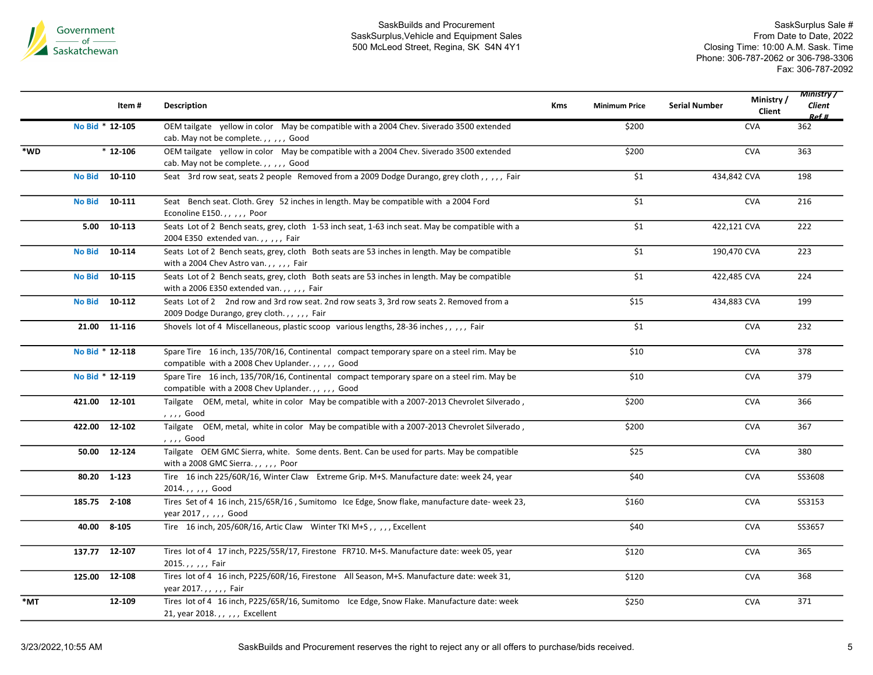

|     |                 | Item#        | Description                                                                                                                                   | <b>Kms</b> | <b>Minimum Price</b> | <b>Serial Number</b> | Ministry/<br>Client | <b>Ministry</b> /<br>Client<br>Ref # |
|-----|-----------------|--------------|-----------------------------------------------------------------------------------------------------------------------------------------------|------------|----------------------|----------------------|---------------------|--------------------------------------|
|     | No Bid * 12-105 |              | OEM tailgate yellow in color May be compatible with a 2004 Chev. Siverado 3500 extended<br>cab. May not be complete.,,,,, Good                |            | \$200                |                      | <b>CVA</b>          | 362                                  |
| *WD |                 | $*12-106$    | OEM tailgate yellow in color May be compatible with a 2004 Chev. Siverado 3500 extended<br>cab. May not be complete.,,,,, Good                |            | \$200                |                      | <b>CVA</b>          | 363                                  |
|     | <b>No Bid</b>   | 10-110       | Seat 3rd row seat, seats 2 people Removed from a 2009 Dodge Durango, grey cloth,,,,,, Fair                                                    |            | \$1                  | 434,842 CVA          |                     | 198                                  |
|     | <b>No Bid</b>   | 10-111       | Seat Bench seat. Cloth. Grey 52 inches in length. May be compatible with a 2004 Ford<br>Econoline E150.,,,,, Poor                             |            | $\overline{\$1}$     |                      | <b>CVA</b>          | 216                                  |
|     | 5.00            | 10-113       | Seats Lot of 2 Bench seats, grey, cloth 1-53 inch seat, 1-63 inch seat. May be compatible with a<br>2004 E350 extended van.,,,,,Fair          |            | \$1                  | 422,121 CVA          |                     | 222                                  |
|     | <b>No Bid</b>   | 10-114       | Seats Lot of 2 Bench seats, grey, cloth Both seats are 53 inches in length. May be compatible<br>with a 2004 Chev Astro van.,,,,, Fair        |            | $\overline{\$1}$     | 190,470 CVA          |                     | 223                                  |
|     | <b>No Bid</b>   | 10-115       | Seats Lot of 2 Bench seats, grey, cloth Both seats are 53 inches in length. May be compatible<br>with a 2006 E350 extended van.,,,,, Fair     |            | \$1                  | 422,485 CVA          |                     | 224                                  |
|     | No Bid 10-112   |              | Seats Lot of 2 2nd row and 3rd row seat. 2nd row seats 3, 3rd row seats 2. Removed from a<br>2009 Dodge Durango, grey cloth.,,,,,Fair         |            | \$15                 | 434,883 CVA          |                     | 199                                  |
|     |                 | 21.00 11-116 | Shovels lot of 4 Miscellaneous, plastic scoop various lengths, 28-36 inches,,,,,Fair                                                          |            | \$1                  |                      | <b>CVA</b>          | 232                                  |
|     | No Bid * 12-118 |              | Spare Tire 16 inch, 135/70R/16, Continental compact temporary spare on a steel rim. May be<br>compatible with a 2008 Chev Uplander.,,,,, Good |            | \$10                 |                      | <b>CVA</b>          | 378                                  |
|     | No Bid * 12-119 |              | Spare Tire 16 inch, 135/70R/16, Continental compact temporary spare on a steel rim. May be<br>compatible with a 2008 Chev Uplander.,,,,, Good |            | \$10                 |                      | <b>CVA</b>          | 379                                  |
|     | 421.00 12-101   |              | Tailgate OEM, metal, white in color May be compatible with a 2007-2013 Chevrolet Silverado,<br>, , , , Good                                   |            | \$200                |                      | <b>CVA</b>          | 366                                  |
|     | 422.00 12-102   |              | Tailgate OEM, metal, white in color May be compatible with a 2007-2013 Chevrolet Silverado,<br>, , , , Good                                   |            | \$200                |                      | <b>CVA</b>          | 367                                  |
|     | 50.00 12-124    |              | Tailgate OEM GMC Sierra, white. Some dents. Bent. Can be used for parts. May be compatible<br>with a 2008 GMC Sierra.,,,,,Poor                |            | \$25                 |                      | <b>CVA</b>          | 380                                  |
|     | 80.20 1-123     |              | Tire 16 inch 225/60R/16, Winter Claw Extreme Grip. M+S. Manufacture date: week 24, year<br>2014.,,,,, Good                                    |            | \$40                 |                      | <b>CVA</b>          | SS3608                               |
|     | 185.75 2-108    |              | Tires Set of 4 16 inch, 215/65R/16, Sumitomo Ice Edge, Snow flake, manufacture date-week 23,<br>year 2017,,,,, Good                           |            | \$160                |                      | <b>CVA</b>          | SS3153                               |
|     | 40.00 8-105     |              | Tire 16 inch, 205/60R/16, Artic Claw Winter TKI M+S,,,,, Excellent                                                                            |            | \$40                 |                      | <b>CVA</b>          | SS3657                               |
|     | 137.77 12-107   |              | Tires lot of 4 17 inch, P225/55R/17, Firestone FR710. M+S. Manufacture date: week 05, year<br>2015.,,,,, Fair                                 |            | \$120                |                      | <b>CVA</b>          | 365                                  |
|     | 125.00 12-108   |              | Tires lot of 4 16 inch, P225/60R/16, Firestone All Season, M+S. Manufacture date: week 31,<br>year 2017.,,,,,Fair                             |            | \$120                |                      | <b>CVA</b>          | 368                                  |
| *MT |                 | 12-109       | Tires lot of 4 16 inch, P225/65R/16, Sumitomo Ice Edge, Snow Flake. Manufacture date: week<br>21, year 2018.,,,,, Excellent                   |            | \$250                |                      | <b>CVA</b>          | 371                                  |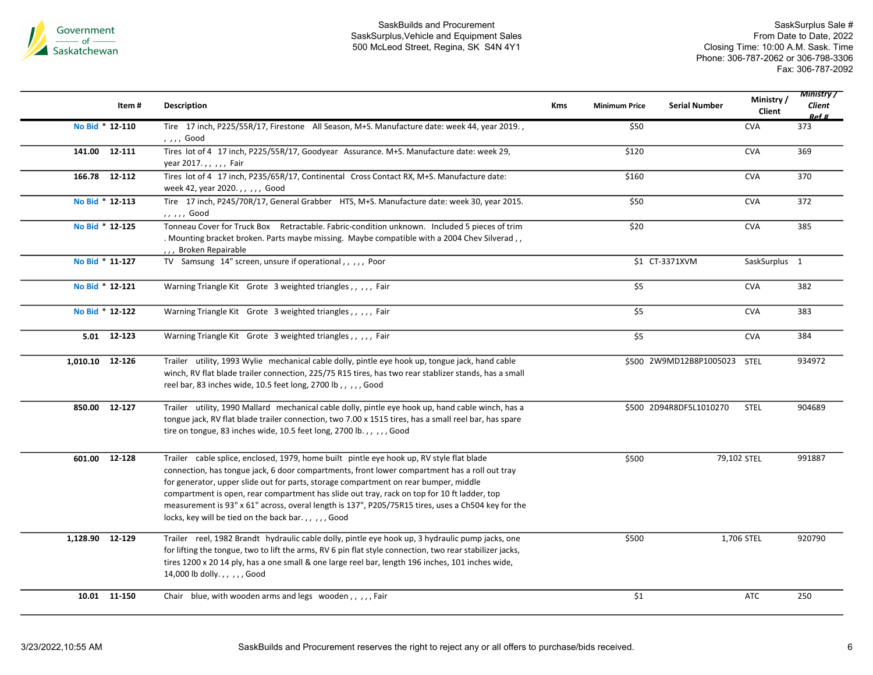

|                 | Item#        | Description                                                                                                                                                                                                                                                                                                                                                                                                                                                                                                                                 | <b>Kms</b> | <b>Minimum Price</b> | <b>Serial Number</b>         | Ministry/<br>Client | <b>Ministry</b> /<br>Client<br>Ref # |
|-----------------|--------------|---------------------------------------------------------------------------------------------------------------------------------------------------------------------------------------------------------------------------------------------------------------------------------------------------------------------------------------------------------------------------------------------------------------------------------------------------------------------------------------------------------------------------------------------|------------|----------------------|------------------------------|---------------------|--------------------------------------|
| No Bid * 12-110 |              | Tire 17 inch, P225/55R/17, Firestone All Season, M+S. Manufacture date: week 44, year 2019.,<br>, , , , Good                                                                                                                                                                                                                                                                                                                                                                                                                                |            | \$50                 |                              | <b>CVA</b>          | 373                                  |
| 141.00 12-111   |              | Tires lot of 4 17 inch, P225/55R/17, Goodyear Assurance. M+S. Manufacture date: week 29,<br>year 2017.,,,,, Fair                                                                                                                                                                                                                                                                                                                                                                                                                            |            | \$120                |                              | <b>CVA</b>          | 369                                  |
| 166.78 12-112   |              | Tires lot of 4 17 inch, P235/65R/17, Continental Cross Contact RX, M+S. Manufacture date:<br>week 42, year 2020.,,,,, Good                                                                                                                                                                                                                                                                                                                                                                                                                  |            | \$160                |                              | <b>CVA</b>          | 370                                  |
| No Bid * 12-113 |              | Tire 17 inch, P245/70R/17, General Grabber HTS, M+S. Manufacture date: week 30, year 2015.<br>,, ,, , Good                                                                                                                                                                                                                                                                                                                                                                                                                                  |            | \$50                 |                              | <b>CVA</b>          | 372                                  |
| No Bid * 12-125 |              | Tonneau Cover for Truck Box Retractable. Fabric-condition unknown. Included 5 pieces of trim<br>. Mounting bracket broken. Parts maybe missing. Maybe compatible with a 2004 Chev Silverad,<br>Broken Repairable                                                                                                                                                                                                                                                                                                                            |            | \$20                 |                              | <b>CVA</b>          | 385                                  |
| No Bid * 11-127 |              | TV Samsung 14" screen, unsure if operational,,,,,, Poor                                                                                                                                                                                                                                                                                                                                                                                                                                                                                     |            |                      | \$1 CT-3371XVM               | SaskSurplus 1       |                                      |
| No Bid * 12-121 |              | Warning Triangle Kit Grote 3 weighted triangles,,,,,, Fair                                                                                                                                                                                                                                                                                                                                                                                                                                                                                  |            | \$5                  |                              | <b>CVA</b>          | 382                                  |
| No Bid * 12-122 |              | Warning Triangle Kit Grote 3 weighted triangles,,,,,Fair                                                                                                                                                                                                                                                                                                                                                                                                                                                                                    |            | \$5                  |                              | <b>CVA</b>          | 383                                  |
|                 | 5.01 12-123  | Warning Triangle Kit Grote 3 weighted triangles,,,,,Fair                                                                                                                                                                                                                                                                                                                                                                                                                                                                                    |            | \$5                  |                              | <b>CVA</b>          | 384                                  |
| 1,010.10 12-126 |              | Trailer utility, 1993 Wylie mechanical cable dolly, pintle eye hook up, tongue jack, hand cable<br>winch, RV flat blade trailer connection, 225/75 R15 tires, has two rear stablizer stands, has a small<br>reel bar, 83 inches wide, 10.5 feet long, 2700 lb,,,,,Good                                                                                                                                                                                                                                                                      |            |                      | \$500 2W9MD12B8P1005023 STEL |                     | 934972                               |
| 850.00 12-127   |              | Trailer utility, 1990 Mallard mechanical cable dolly, pintle eye hook up, hand cable winch, has a<br>tongue jack, RV flat blade trailer connection, two 7.00 x 1515 tires, has a small reel bar, has spare<br>tire on tongue, 83 inches wide, 10.5 feet long, 2700 lb.,,,,,Good                                                                                                                                                                                                                                                             |            |                      | \$500 2D94R8DF5L1010270      | <b>STEL</b>         | 904689                               |
| 601.00 12-128   |              | Trailer cable splice, enclosed, 1979, home built pintle eye hook up, RV style flat blade<br>connection, has tongue jack, 6 door compartments, front lower compartment has a roll out tray<br>for generator, upper slide out for parts, storage compartment on rear bumper, middle<br>compartment is open, rear compartment has slide out tray, rack on top for 10 ft ladder, top<br>measurement is 93" x 61" across, overal length is 137", P205/75R15 tires, uses a Ch504 key for the<br>locks, key will be tied on the back bar.,,,,,Good |            | \$500                | 79,102 STEL                  |                     | 991887                               |
| 1,128.90 12-129 |              | Trailer reel, 1982 Brandt hydraulic cable dolly, pintle eye hook up, 3 hydraulic pump jacks, one<br>for lifting the tongue, two to lift the arms, RV 6 pin flat style connection, two rear stabilizer jacks,<br>tires 1200 x 20 14 ply, has a one small & one large reel bar, length 196 inches, 101 inches wide,<br>14,000 lb dolly.,,,,,Good                                                                                                                                                                                              |            | \$500                |                              | 1,706 STEL          | 920790                               |
|                 | 10.01 11-150 | Chair blue, with wooden arms and legs wooden,,,,,Fair                                                                                                                                                                                                                                                                                                                                                                                                                                                                                       |            | \$1                  |                              | <b>ATC</b>          | 250                                  |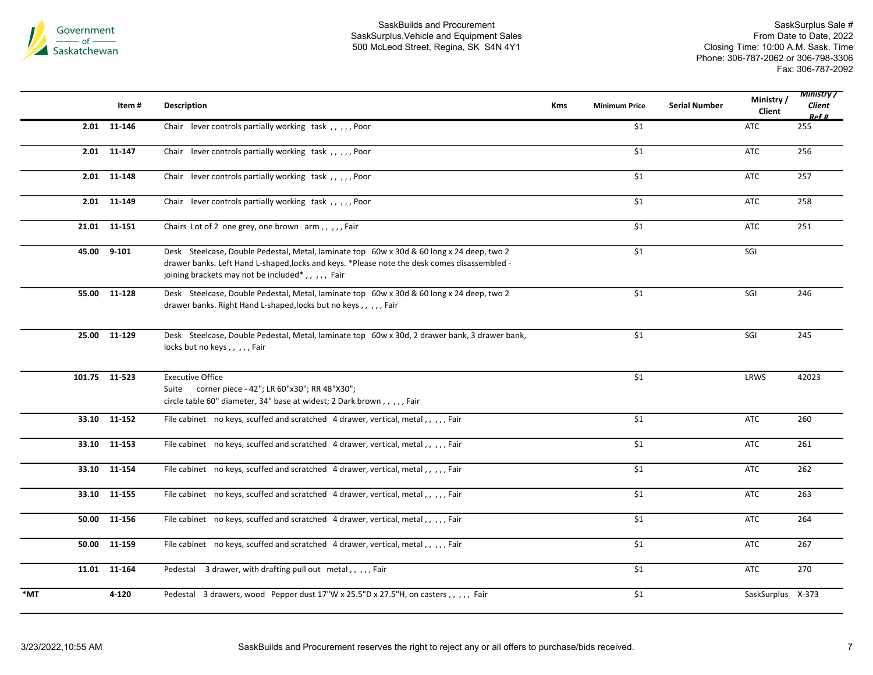

|       | Item#         | <b>Description</b>                                                                                                                                                                                                                                       | <b>Kms</b> | <b>Minimum Price</b> | <b>Serial Number</b> | Ministry/<br>Client | <b>Ministry</b> /<br>Client<br>Ref # |
|-------|---------------|----------------------------------------------------------------------------------------------------------------------------------------------------------------------------------------------------------------------------------------------------------|------------|----------------------|----------------------|---------------------|--------------------------------------|
|       | 2.01 11-146   | Chair lever controls partially working task,,,,,,Poor                                                                                                                                                                                                    |            | \$1                  |                      | ATC                 | 255                                  |
| 2.01  | 11-147        | Chair lever controls partially working task,,,,,Poor                                                                                                                                                                                                     |            | \$1                  |                      | <b>ATC</b>          | 256                                  |
|       | 2.01 11-148   | Chair lever controls partially working task,,,,,,Poor                                                                                                                                                                                                    |            | \$1                  |                      | <b>ATC</b>          | 257                                  |
|       | 2.01 11-149   | Chair lever controls partially working task,,,,,,Poor                                                                                                                                                                                                    |            | $\overline{\$1}$     |                      | <b>ATC</b>          | 258                                  |
|       | 21.01 11-151  | Chairs Lot of 2 one grey, one brown arm,,,,,Fair                                                                                                                                                                                                         |            | \$1                  |                      | <b>ATC</b>          | 251                                  |
| 45.00 | $9 - 101$     | Desk Steelcase, Double Pedestal, Metal, laminate top 60w x 30d & 60 long x 24 deep, two 2<br>drawer banks. Left Hand L-shaped, locks and keys. *Please note the desk comes disassembled -<br>joining brackets may not be included <sup>*</sup> ,,,,,Fair |            | $\overline{\$1}$     |                      | SGI                 |                                      |
|       | 55.00 11-128  | Desk Steelcase, Double Pedestal, Metal, laminate top 60w x 30d & 60 long x 24 deep, two 2<br>drawer banks. Right Hand L-shaped, locks but no keys,,,,,Fair                                                                                               |            | \$1                  |                      | SGI                 | 246                                  |
|       | 25.00 11-129  | Desk Steelcase, Double Pedestal, Metal, laminate top 60w x 30d, 2 drawer bank, 3 drawer bank,<br>locks but no keys,,,,,Fair                                                                                                                              |            | \$1                  |                      | SGI                 | 245                                  |
|       | 101.75 11-523 | <b>Executive Office</b><br>Suite corner piece - 42"; LR 60"x30"; RR 48"X30";<br>circle table 60" diameter, 34" base at widest; 2 Dark brown,,,,,Fair                                                                                                     |            | \$1                  |                      | LRWS                | 42023                                |
|       | 33.10 11-152  | File cabinet no keys, scuffed and scratched 4 drawer, vertical, metal,,,,,Fair                                                                                                                                                                           |            | \$1                  |                      | <b>ATC</b>          | 260                                  |
| 33.10 | 11-153        | File cabinet no keys, scuffed and scratched 4 drawer, vertical, metal,,,,,,Fair                                                                                                                                                                          |            | \$1                  |                      | <b>ATC</b>          | 261                                  |
|       | 33.10 11-154  | File cabinet no keys, scuffed and scratched 4 drawer, vertical, metal,,,,,Fair                                                                                                                                                                           |            | \$1                  |                      | <b>ATC</b>          | 262                                  |
|       | 33.10 11-155  | File cabinet no keys, scuffed and scratched 4 drawer, vertical, metal,,,,,,Fair                                                                                                                                                                          |            | \$1                  |                      | ATC                 | 263                                  |
| 50.00 | 11-156        | File cabinet no keys, scuffed and scratched 4 drawer, vertical, metal,,,,,,Fair                                                                                                                                                                          |            | \$1                  |                      | <b>ATC</b>          | 264                                  |
| 50.00 | 11-159        | File cabinet no keys, scuffed and scratched 4 drawer, vertical, metal,,,,,Fair                                                                                                                                                                           |            | \$1                  |                      | <b>ATC</b>          | 267                                  |
|       | 11.01 11-164  | Pedestal 3 drawer, with drafting pull out metal,,,,,Fair                                                                                                                                                                                                 |            | \$1                  |                      | <b>ATC</b>          | 270                                  |
| *MT   | 4-120         | Pedestal 3 drawers, wood Pepper dust 17"W x 25.5"D x 27.5"H, on casters, , , , , Fair                                                                                                                                                                    |            | \$1                  |                      | SaskSurplus X-373   |                                      |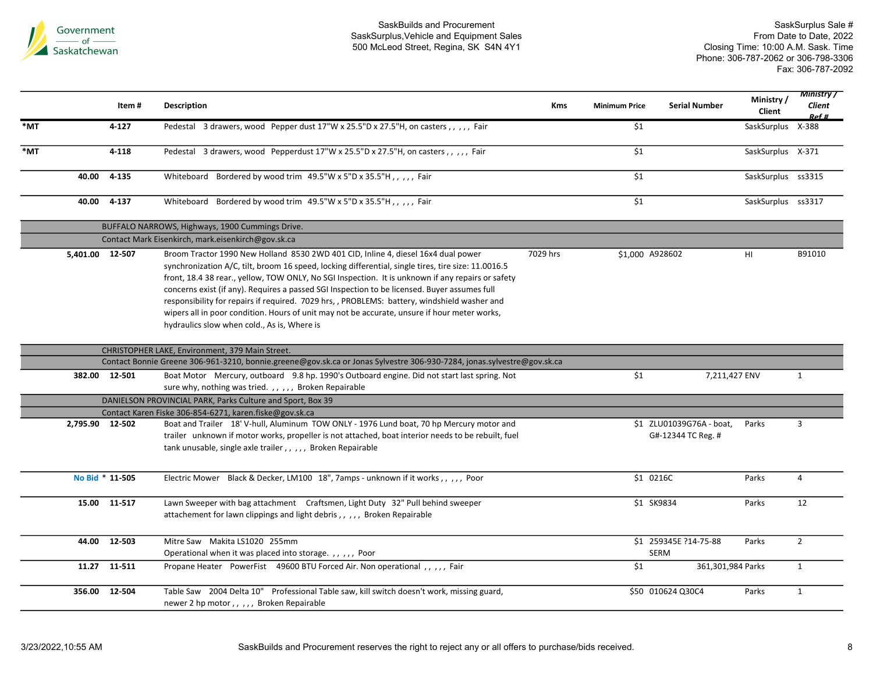

|     |                 | Item#           | <b>Description</b>                                                                                                                                                                                                                                                                                                                                                                                                                                                                                                                                                                                                                          | <b>Kms</b> | <b>Minimum Price</b> | <b>Serial Number</b>                           | Ministry /<br>Client | <b>Ministry</b> /<br>Client<br>Ref # |
|-----|-----------------|-----------------|---------------------------------------------------------------------------------------------------------------------------------------------------------------------------------------------------------------------------------------------------------------------------------------------------------------------------------------------------------------------------------------------------------------------------------------------------------------------------------------------------------------------------------------------------------------------------------------------------------------------------------------------|------------|----------------------|------------------------------------------------|----------------------|--------------------------------------|
| *MT |                 | $4 - 127$       | Pedestal 3 drawers, wood Pepper dust 17"W x 25.5"D x 27.5"H, on casters,,,,,Fair                                                                                                                                                                                                                                                                                                                                                                                                                                                                                                                                                            |            | \$1                  |                                                | SaskSurplus X-388    |                                      |
| *MT |                 | 4-118           | Pedestal 3 drawers, wood Pepperdust 17"W x 25.5"D x 27.5"H, on casters, , , , , Fair                                                                                                                                                                                                                                                                                                                                                                                                                                                                                                                                                        |            | $\overline{\$1}$     |                                                | SaskSurplus X-371    |                                      |
|     |                 | 40.00 4-135     | Whiteboard Bordered by wood trim 49.5"W x 5"D x 35.5"H,,,,, Fair                                                                                                                                                                                                                                                                                                                                                                                                                                                                                                                                                                            |            | $$1$$                |                                                | SaskSurplus ss3315   |                                      |
|     | 40.00           | 4-137           | Whiteboard Bordered by wood trim 49.5"W x 5"D x 35.5"H,,,,, Fair                                                                                                                                                                                                                                                                                                                                                                                                                                                                                                                                                                            |            | \$1                  |                                                | SaskSurplus ss3317   |                                      |
|     |                 |                 | BUFFALO NARROWS, Highways, 1900 Cummings Drive.                                                                                                                                                                                                                                                                                                                                                                                                                                                                                                                                                                                             |            |                      |                                                |                      |                                      |
|     |                 |                 | Contact Mark Eisenkirch, mark.eisenkirch@gov.sk.ca                                                                                                                                                                                                                                                                                                                                                                                                                                                                                                                                                                                          |            |                      |                                                |                      |                                      |
|     | 5,401.00 12-507 |                 | Broom Tractor 1990 New Holland 8530 2WD 401 CID, Inline 4, diesel 16x4 dual power<br>synchronization A/C, tilt, broom 16 speed, locking differential, single tires, tire size: 11.0016.5<br>front, 18.4 38 rear., yellow, TOW ONLY, No SGI Inspection. It is unknown if any repairs or safety<br>concerns exist (if any). Requires a passed SGI Inspection to be licensed. Buyer assumes full<br>responsibility for repairs if required. 7029 hrs,, PROBLEMS: battery, windshield washer and<br>wipers all in poor condition. Hours of unit may not be accurate, unsure if hour meter works,<br>hydraulics slow when cold., As is, Where is | 7029 hrs   |                      | \$1,000 A928602                                | HI                   | B91010                               |
|     |                 |                 | CHRISTOPHER LAKE, Environment, 379 Main Street.                                                                                                                                                                                                                                                                                                                                                                                                                                                                                                                                                                                             |            |                      |                                                |                      |                                      |
|     |                 |                 | Contact Bonnie Greene 306-961-3210, bonnie.greene@gov.sk.ca or Jonas Sylvestre 306-930-7284, jonas.sylvestre@gov.sk.ca                                                                                                                                                                                                                                                                                                                                                                                                                                                                                                                      |            |                      |                                                |                      |                                      |
|     |                 | 382.00 12-501   | Boat Motor Mercury, outboard 9.8 hp. 1990's Outboard engine. Did not start last spring. Not<br>sure why, nothing was tried.,,,,, Broken Repairable                                                                                                                                                                                                                                                                                                                                                                                                                                                                                          |            | \$1                  | 7,211,427 ENV                                  |                      | $\mathbf{1}$                         |
|     |                 |                 | DANIELSON PROVINCIAL PARK, Parks Culture and Sport, Box 39                                                                                                                                                                                                                                                                                                                                                                                                                                                                                                                                                                                  |            |                      |                                                |                      |                                      |
|     |                 |                 | Contact Karen Fiske 306-854-6271, karen.fiske@gov.sk.ca                                                                                                                                                                                                                                                                                                                                                                                                                                                                                                                                                                                     |            |                      |                                                |                      |                                      |
|     | 2,795.90 12-502 |                 | Boat and Trailer 18' V-hull, Aluminum TOW ONLY - 1976 Lund boat, 70 hp Mercury motor and<br>trailer unknown if motor works, propeller is not attached, boat interior needs to be rebuilt, fuel<br>tank unusable, single axle trailer,,,,, Broken Repairable                                                                                                                                                                                                                                                                                                                                                                                 |            |                      | \$1 ZLU01039G76A - boat,<br>G#-12344 TC Reg. # | Parks                | 3                                    |
|     |                 | No Bid * 11-505 | Electric Mower Black & Decker, LM100 18", 7amps - unknown if it works,,,,, Poor                                                                                                                                                                                                                                                                                                                                                                                                                                                                                                                                                             |            |                      | \$1 0216C                                      | Parks                | 4                                    |
|     |                 | 15.00 11-517    | Lawn Sweeper with bag attachment  Craftsmen, Light Duty 32" Pull behind sweeper<br>attachement for lawn clippings and light debris,,,,, Broken Repairable                                                                                                                                                                                                                                                                                                                                                                                                                                                                                   |            |                      | \$1 SK9834                                     | Parks                | 12                                   |
|     |                 | 44.00 12-503    | Mitre Saw Makita LS1020 255mm<br>Operational when it was placed into storage.,,,,, Poor                                                                                                                                                                                                                                                                                                                                                                                                                                                                                                                                                     |            |                      | \$1 259345E ?14-75-88<br><b>SERM</b>           | Parks                | $\overline{2}$                       |
|     |                 | 11.27 11-511    | Propane Heater PowerFist 49600 BTU Forced Air. Non operational , , , , , Fair                                                                                                                                                                                                                                                                                                                                                                                                                                                                                                                                                               |            | \$1                  | 361,301,984 Parks                              |                      | $\mathbf{1}$                         |
|     |                 | 356.00 12-504   | Table Saw 2004 Delta 10" Professional Table saw, kill switch doesn't work, missing guard,<br>newer 2 hp motor,,,,, Broken Repairable                                                                                                                                                                                                                                                                                                                                                                                                                                                                                                        |            |                      | \$50 010624 Q30C4                              | Parks                | $\mathbf{1}$                         |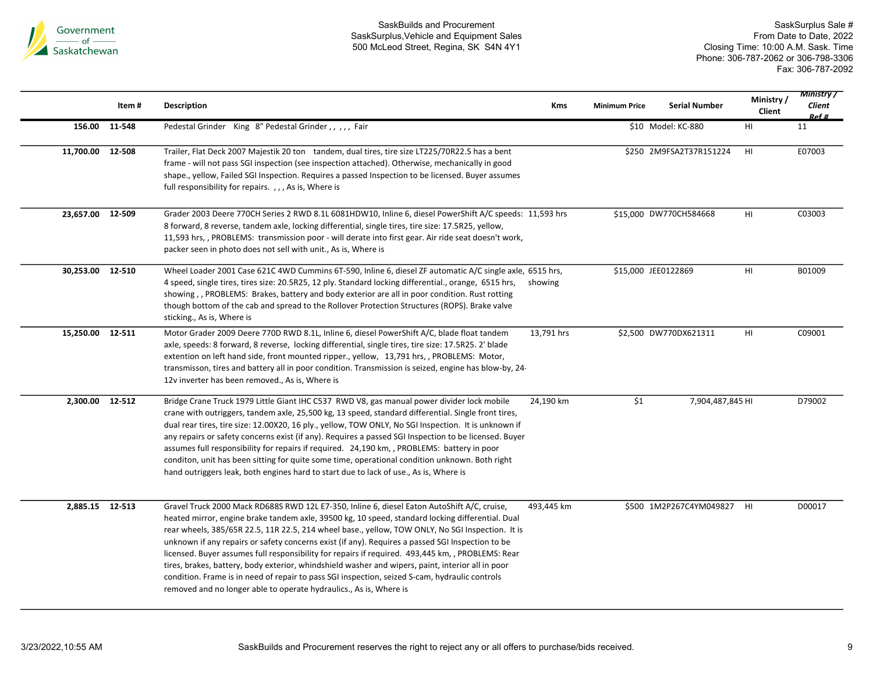

|                  | Item# | <b>Description</b>                                                                                                                                                                                                                                                                                                                                                                                                                                                                                                                                                                                                                                                                                                                                                                        | Kms        | <b>Minimum Price</b> | <b>Serial Number</b>       | Ministry/<br>Client | <b>Ministry</b> /<br><b>Client</b><br>Ref # |
|------------------|-------|-------------------------------------------------------------------------------------------------------------------------------------------------------------------------------------------------------------------------------------------------------------------------------------------------------------------------------------------------------------------------------------------------------------------------------------------------------------------------------------------------------------------------------------------------------------------------------------------------------------------------------------------------------------------------------------------------------------------------------------------------------------------------------------------|------------|----------------------|----------------------------|---------------------|---------------------------------------------|
| 156.00 11-548    |       | Pedestal Grinder King 8" Pedestal Grinder,,,,,Fair                                                                                                                                                                                                                                                                                                                                                                                                                                                                                                                                                                                                                                                                                                                                        |            |                      | \$10 Model: KC-880         | HI                  | 11                                          |
| 11,700.00 12-508 |       | Trailer, Flat Deck 2007 Majestik 20 ton tandem, dual tires, tire size LT225/70R22.5 has a bent<br>frame - will not pass SGI inspection (see inspection attached). Otherwise, mechanically in good<br>shape., yellow, Failed SGI Inspection. Requires a passed Inspection to be licensed. Buyer assumes<br>full responsibility for repairs., , , As is, Where is                                                                                                                                                                                                                                                                                                                                                                                                                           |            |                      | \$250 2M9FSA2T37R151224    | HI                  | E07003                                      |
| 23,657.00 12-509 |       | Grader 2003 Deere 770CH Series 2 RWD 8.1L 6081HDW10, Inline 6, diesel PowerShift A/C speeds: 11,593 hrs<br>8 forward, 8 reverse, tandem axle, locking differential, single tires, tire size: 17.5R25, yellow,<br>11,593 hrs,, PROBLEMS: transmission poor - will derate into first gear. Air ride seat doesn't work,<br>packer seen in photo does not sell with unit., As is, Where is                                                                                                                                                                                                                                                                                                                                                                                                    |            |                      | \$15,000 DW770CH584668     | HI                  | C03003                                      |
| 30,253.00 12-510 |       | Wheel Loader 2001 Case 621C 4WD Cummins 6T-590, Inline 6, diesel ZF automatic A/C single axle, 6515 hrs,<br>4 speed, single tires, tires size: 20.5R25, 12 ply. Standard locking differential., orange, 6515 hrs,<br>showing,, PROBLEMS: Brakes, battery and body exterior are all in poor condition. Rust rotting<br>though bottom of the cab and spread to the Rollover Protection Structures (ROPS). Brake valve<br>sticking., As is, Where is                                                                                                                                                                                                                                                                                                                                         | showing    |                      | \$15,000 JEE0122869        | HI                  | B01009                                      |
| 15,250.00 12-511 |       | Motor Grader 2009 Deere 770D RWD 8.1L, Inline 6, diesel PowerShift A/C, blade float tandem<br>axle, speeds: 8 forward, 8 reverse, locking differential, single tires, tire size: 17.5R25. 2' blade<br>extention on left hand side, front mounted ripper., yellow, 13,791 hrs, , PROBLEMS: Motor,<br>transmisson, tires and battery all in poor condition. Transmission is seized, engine has blow-by, 24-<br>12v inverter has been removed., As is, Where is                                                                                                                                                                                                                                                                                                                              | 13,791 hrs |                      | \$2,500 DW770DX621311      | HI                  | C09001                                      |
| 2,300.00 12-512  |       | Bridge Crane Truck 1979 Little Giant IHC C537 RWD V8, gas manual power divider lock mobile<br>crane with outriggers, tandem axle, 25,500 kg, 13 speed, standard differential. Single front tires,<br>dual rear tires, tire size: 12.00X20, 16 ply., yellow, TOW ONLY, No SGI Inspection. It is unknown if<br>any repairs or safety concerns exist (if any). Requires a passed SGI Inspection to be licensed. Buyer<br>assumes full responsibility for repairs if required. 24,190 km, , PROBLEMS: battery in poor<br>conditon, unit has been sitting for quite some time, operational condition unknown. Both right<br>hand outriggers leak, both engines hard to start due to lack of use., As is, Where is                                                                              | 24,190 km  | \$1                  | 7,904,487,845 HI           |                     | D79002                                      |
| 2,885.15 12-513  |       | Gravel Truck 2000 Mack RD688S RWD 12L E7-350, Inline 6, diesel Eaton AutoShift A/C, cruise,<br>heated mirror, engine brake tandem axle, 39500 kg, 10 speed, standard locking differential. Dual<br>rear wheels, 385/65R 22.5, 11R 22.5, 214 wheel base., yellow, TOW ONLY, No SGI Inspection. It is<br>unknown if any repairs or safety concerns exist (if any). Requires a passed SGI Inspection to be<br>licensed. Buyer assumes full responsibility for repairs if required. 493,445 km, , PROBLEMS: Rear<br>tires, brakes, battery, body exterior, whindshield washer and wipers, paint, interior all in poor<br>condition. Frame is in need of repair to pass SGI inspection, seized S-cam, hydraulic controls<br>removed and no longer able to operate hydraulics., As is, Where is | 493,445 km |                      | \$500 1M2P267C4YM049827 HI |                     | D00017                                      |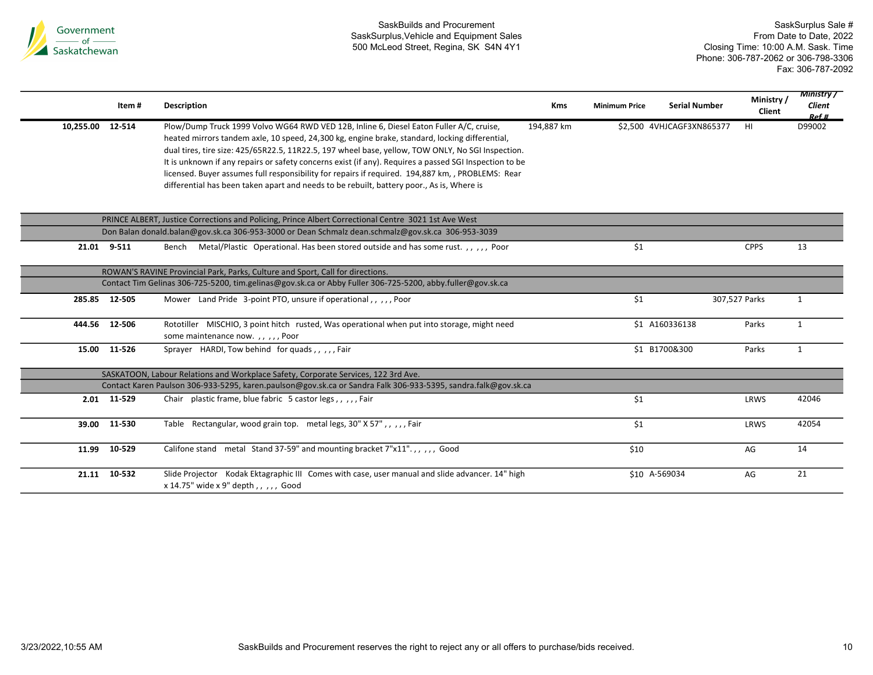

|                  | Item#         | <b>Description</b>                                                                                                                                                                                                                                                                                                                                                                                                                                                                                                                                                                                         | Kms        | <b>Minimum Price</b> | <b>Serial Number</b>      | Ministry/<br>Client | <b>Ministry</b> /<br>Client<br>Ref # |
|------------------|---------------|------------------------------------------------------------------------------------------------------------------------------------------------------------------------------------------------------------------------------------------------------------------------------------------------------------------------------------------------------------------------------------------------------------------------------------------------------------------------------------------------------------------------------------------------------------------------------------------------------------|------------|----------------------|---------------------------|---------------------|--------------------------------------|
| 10,255.00 12-514 |               | Plow/Dump Truck 1999 Volvo WG64 RWD VED 12B, Inline 6, Diesel Eaton Fuller A/C, cruise,<br>heated mirrors tandem axle, 10 speed, 24,300 kg, engine brake, standard, locking differential,<br>dual tires, tire size: 425/65R22.5, 11R22.5, 197 wheel base, yellow, TOW ONLY, No SGI Inspection.<br>It is unknown if any repairs or safety concerns exist (if any). Requires a passed SGI Inspection to be<br>licensed. Buyer assumes full responsibility for repairs if required. 194,887 km, , PROBLEMS: Rear<br>differential has been taken apart and needs to be rebuilt, battery poor., As is, Where is | 194,887 km |                      | \$2,500 4VHJCAGF3XN865377 | HI                  | D99002                               |
|                  |               | PRINCE ALBERT, Justice Corrections and Policing, Prince Albert Correctional Centre 3021 1st Ave West                                                                                                                                                                                                                                                                                                                                                                                                                                                                                                       |            |                      |                           |                     |                                      |
|                  |               | Don Balan donald.balan@gov.sk.ca 306-953-3000 or Dean Schmalz dean.schmalz@gov.sk.ca 306-953-3039                                                                                                                                                                                                                                                                                                                                                                                                                                                                                                          |            |                      |                           |                     |                                      |
|                  | 21.01 9-511   | Metal/Plastic Operational. Has been stored outside and has some rust.,,,,, Poor<br>Bench                                                                                                                                                                                                                                                                                                                                                                                                                                                                                                                   |            | \$1                  |                           | <b>CPPS</b>         | 13                                   |
|                  |               | ROWAN'S RAVINE Provincial Park, Parks, Culture and Sport, Call for directions.                                                                                                                                                                                                                                                                                                                                                                                                                                                                                                                             |            |                      |                           |                     |                                      |
|                  |               | Contact Tim Gelinas 306-725-5200, tim.gelinas@gov.sk.ca or Abby Fuller 306-725-5200, abby.fuller@gov.sk.ca                                                                                                                                                                                                                                                                                                                                                                                                                                                                                                 |            |                      |                           |                     |                                      |
|                  | 285.85 12-505 | Mower Land Pride 3-point PTO, unsure if operational,,,,,,Poor                                                                                                                                                                                                                                                                                                                                                                                                                                                                                                                                              |            | \$1                  |                           | 307,527 Parks       | 1                                    |
| 444.56           | 12-506        | Rototiller MISCHIO, 3 point hitch rusted, Was operational when put into storage, might need<br>some maintenance now.,,,,,Poor                                                                                                                                                                                                                                                                                                                                                                                                                                                                              |            |                      | \$1 A160336138            | Parks               | $\mathbf{1}$                         |
|                  | 15.00 11-526  | Sprayer HARDI, Tow behind for quads, , , , , Fair                                                                                                                                                                                                                                                                                                                                                                                                                                                                                                                                                          |            |                      | \$1 B1700&300             | Parks               | $\mathbf{1}$                         |
|                  |               | SASKATOON, Labour Relations and Workplace Safety, Corporate Services, 122 3rd Ave.                                                                                                                                                                                                                                                                                                                                                                                                                                                                                                                         |            |                      |                           |                     |                                      |
|                  |               | Contact Karen Paulson 306-933-5295, karen.paulson@gov.sk.ca or Sandra Falk 306-933-5395, sandra.falk@gov.sk.ca                                                                                                                                                                                                                                                                                                                                                                                                                                                                                             |            |                      |                           |                     |                                      |
|                  | 2.01 11-529   | Chair plastic frame, blue fabric 5 castor legs,,,,,Fair                                                                                                                                                                                                                                                                                                                                                                                                                                                                                                                                                    |            | \$1                  |                           | LRWS                | 42046                                |
| 39.00            | 11-530        | Table Rectangular, wood grain top. metal legs, 30" X 57",,,,,Fair                                                                                                                                                                                                                                                                                                                                                                                                                                                                                                                                          |            | \$1                  |                           | LRWS                | 42054                                |
| 11.99            | 10-529        | Califone stand metal Stand 37-59" and mounting bracket 7"x11".,,,,, Good                                                                                                                                                                                                                                                                                                                                                                                                                                                                                                                                   |            | \$10                 |                           | AG                  | 14                                   |
| 21.11            | 10-532        | Slide Projector Kodak Ektagraphic III Comes with case, user manual and slide advancer. 14" high<br>x 14.75" wide x 9" depth,,,,, Good                                                                                                                                                                                                                                                                                                                                                                                                                                                                      |            |                      | \$10 A-569034             | AG                  | 21                                   |